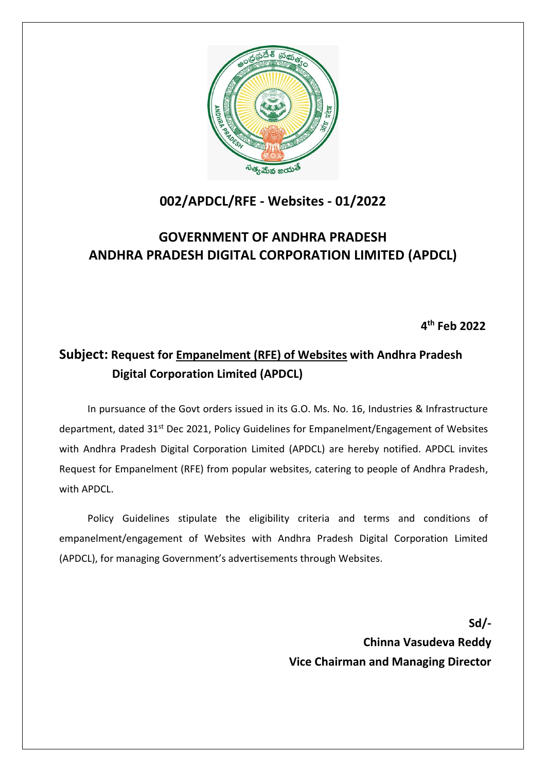

# **002/APDCL/RFE - Websites - 01/2022**

# **GOVERNMENT OF ANDHRA PRADESH ANDHRA PRADESH DIGITAL CORPORATION LIMITED (APDCL)**

**4 th Feb 2022**

# **Subject: Request for Empanelment (RFE) of Websites with Andhra Pradesh Digital Corporation Limited (APDCL)**

In pursuance of the Govt orders issued in its G.O. Ms. No. 16, Industries & Infrastructure department, dated 31<sup>st</sup> Dec 2021, Policy Guidelines for Empanelment/Engagement of Websites with Andhra Pradesh Digital Corporation Limited (APDCL) are hereby notified. APDCL invites Request for Empanelment (RFE) from popular websites, catering to people of Andhra Pradesh, with APDCL

Policy Guidelines stipulate the eligibility criteria and terms and conditions of empanelment/engagement of Websites with Andhra Pradesh Digital Corporation Limited (APDCL), for managing Government's advertisements through Websites.

> **Sd/- Chinna Vasudeva Reddy Vice Chairman and Managing Director**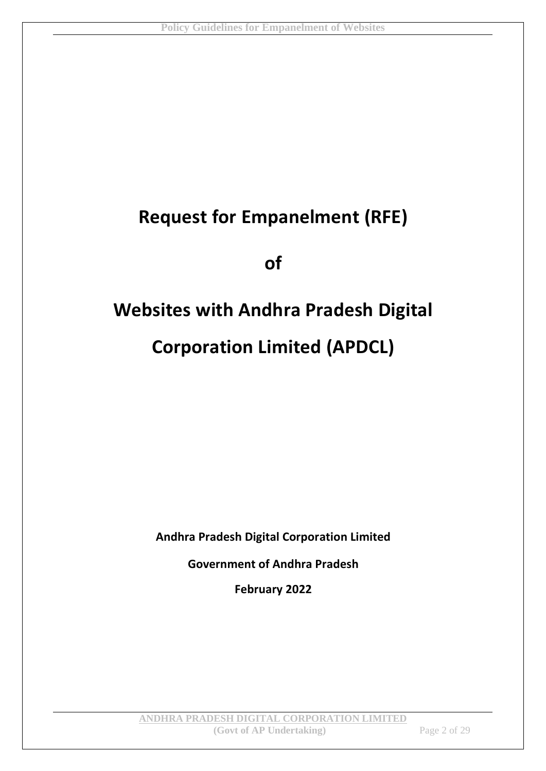# **Request for Empanelment (RFE)**

**of**

# **Websites with Andhra Pradesh Digital Corporation Limited (APDCL)**

**Andhra Pradesh Digital Corporation Limited**

**Government of Andhra Pradesh**

**February 2022**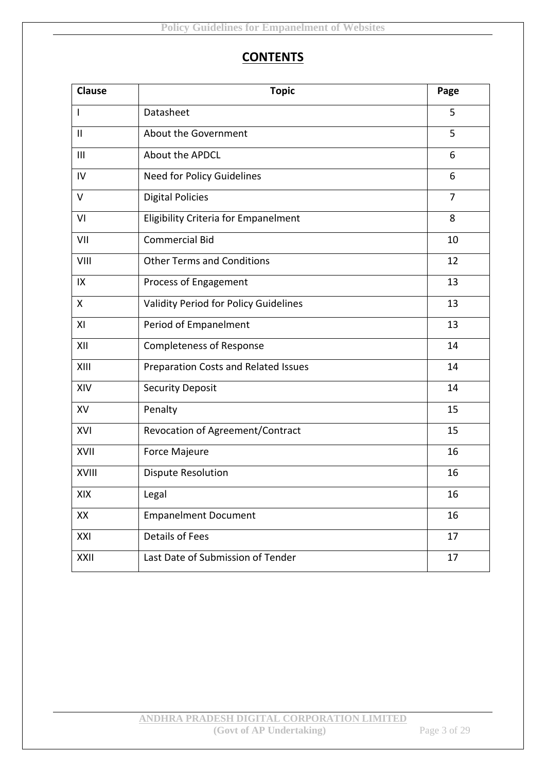# **CONTENTS**

| <b>Clause</b> | <b>Topic</b>                          | Page           |
|---------------|---------------------------------------|----------------|
| $\mathbf{I}$  | Datasheet                             | 5              |
| $\mathbf{II}$ | About the Government                  | 5              |
| III           | About the APDCL                       | 6              |
| IV            | Need for Policy Guidelines            | 6              |
| $\vee$        | <b>Digital Policies</b>               | $\overline{7}$ |
| VI            | Eligibility Criteria for Empanelment  | 8              |
| VII           | <b>Commercial Bid</b>                 | 10             |
| VIII          | <b>Other Terms and Conditions</b>     | 12             |
| IX            | Process of Engagement                 | 13             |
| X             | Validity Period for Policy Guidelines | 13             |
| XI            | Period of Empanelment                 | 13             |
| XII           | <b>Completeness of Response</b>       | 14             |
| XIII          | Preparation Costs and Related Issues  | 14             |
| XIV           | <b>Security Deposit</b>               | 14             |
| XV            | Penalty                               | 15             |
| XVI           | Revocation of Agreement/Contract      | 15             |
| XVII          | Force Majeure                         | 16             |
| XVIII         | <b>Dispute Resolution</b>             | 16             |
| XIX           | Legal                                 | 16             |
| XX            | <b>Empanelment Document</b>           | 16             |
| XXI           | <b>Details of Fees</b>                | 17             |
| XXII          | Last Date of Submission of Tender     | 17             |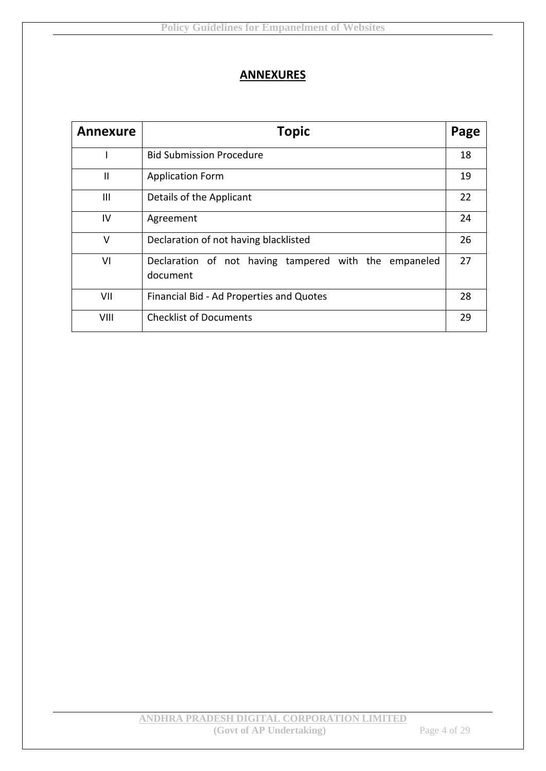# **ANNEXURES**

| <b>Annexure</b> | <b>Topic</b>                                                      |    |
|-----------------|-------------------------------------------------------------------|----|
|                 | <b>Bid Submission Procedure</b>                                   | 18 |
| $\mathbf{I}$    | <b>Application Form</b>                                           | 19 |
| Ш               | Details of the Applicant                                          | 22 |
| IV              | Agreement                                                         | 24 |
| V               | Declaration of not having blacklisted                             | 26 |
| VI              | Declaration of not having tampered with the empaneled<br>document | 27 |
| VII             | Financial Bid - Ad Properties and Quotes                          | 28 |
| VIII            | <b>Checklist of Documents</b>                                     | 29 |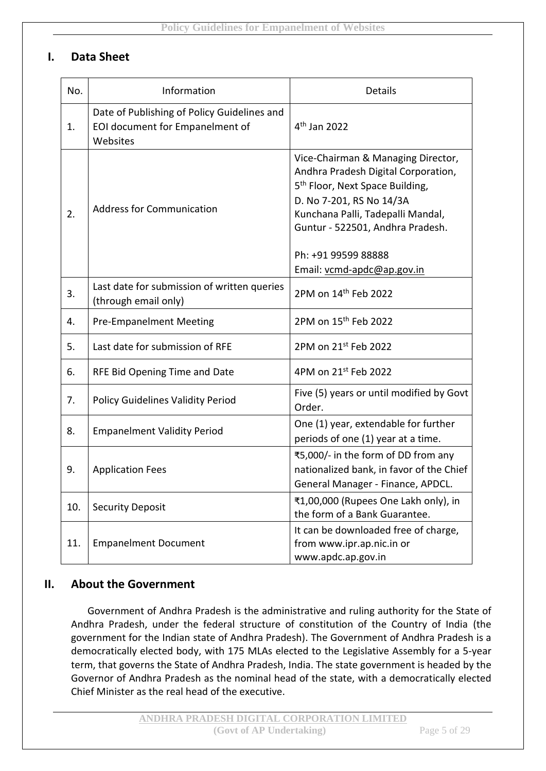# **I. Data Sheet**

| No. | Information                                                                                | Details                                                                                                                                                                                                                                              |
|-----|--------------------------------------------------------------------------------------------|------------------------------------------------------------------------------------------------------------------------------------------------------------------------------------------------------------------------------------------------------|
| 1.  | Date of Publishing of Policy Guidelines and<br>EOI document for Empanelment of<br>Websites | 4 <sup>th</sup> Jan 2022                                                                                                                                                                                                                             |
| 2.  | <b>Address for Communication</b>                                                           | Vice-Chairman & Managing Director,<br>Andhra Pradesh Digital Corporation,<br>5 <sup>th</sup> Floor, Next Space Building,<br>D. No 7-201, RS No 14/3A<br>Kunchana Palli, Tadepalli Mandal,<br>Guntur - 522501, Andhra Pradesh.<br>Ph: +91 99599 88888 |
| 3.  | Last date for submission of written queries<br>(through email only)                        | Email: vcmd-apdc@ap.gov.in<br>2PM on 14 <sup>th</sup> Feb 2022                                                                                                                                                                                       |
| 4.  | <b>Pre-Empanelment Meeting</b>                                                             | 2PM on 15 <sup>th</sup> Feb 2022                                                                                                                                                                                                                     |
| 5.  | Last date for submission of RFE                                                            | 2PM on 21st Feb 2022                                                                                                                                                                                                                                 |
| 6.  | RFE Bid Opening Time and Date                                                              | 4PM on 21st Feb 2022                                                                                                                                                                                                                                 |
| 7.  | <b>Policy Guidelines Validity Period</b>                                                   | Five (5) years or until modified by Govt<br>Order.                                                                                                                                                                                                   |
| 8.  | <b>Empanelment Validity Period</b>                                                         | One (1) year, extendable for further<br>periods of one (1) year at a time.                                                                                                                                                                           |
| 9.  | <b>Application Fees</b>                                                                    | ₹5,000/- in the form of DD from any<br>nationalized bank, in favor of the Chief<br>General Manager - Finance, APDCL.                                                                                                                                 |
| 10. | <b>Security Deposit</b>                                                                    | ₹1,00,000 (Rupees One Lakh only), in<br>the form of a Bank Guarantee.                                                                                                                                                                                |
| 11. | <b>Empanelment Document</b>                                                                | It can be downloaded free of charge,<br>from www.ipr.ap.nic.in or<br>www.apdc.ap.gov.in                                                                                                                                                              |

# **II. About the Government**

Government of Andhra Pradesh is the administrative and ruling authority for the State of Andhra Pradesh, under the federal structure of constitution of the Country of India (the government for the Indian state of Andhra Pradesh). The Government of Andhra Pradesh is a democratically elected body, with 175 MLAs elected to the Legislative Assembly for a 5-year term, that governs the State of Andhra Pradesh, India. The state government is headed by the Governor of Andhra Pradesh as the nominal head of the state, with a democratically elected Chief Minister as the real head of the executive.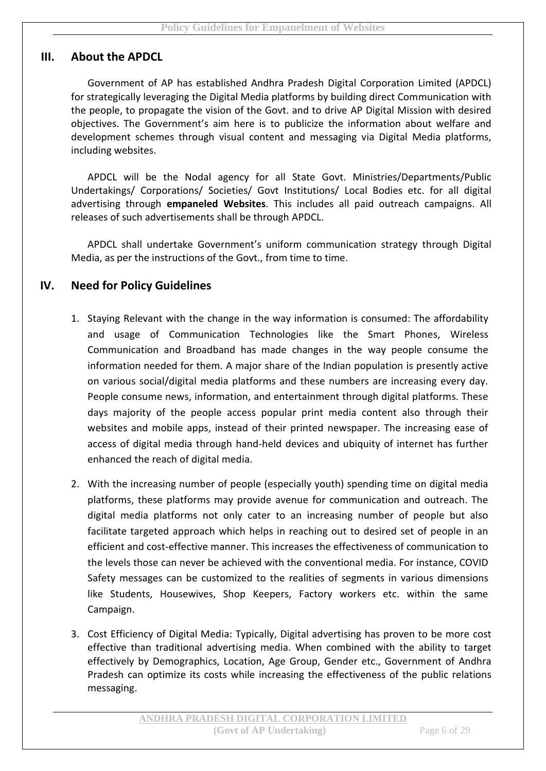# **III. About the APDCL**

Government of AP has established Andhra Pradesh Digital Corporation Limited (APDCL) for strategically leveraging the Digital Media platforms by building direct Communication with the people, to propagate the vision of the Govt. and to drive AP Digital Mission with desired objectives. The Government's aim here is to publicize the information about welfare and development schemes through visual content and messaging via Digital Media platforms, including websites.

APDCL will be the Nodal agency for all State Govt. Ministries/Departments/Public Undertakings/ Corporations/ Societies/ Govt Institutions/ Local Bodies etc. for all digital advertising through **empaneled Websites**. This includes all paid outreach campaigns. All releases of such advertisements shall be through APDCL.

APDCL shall undertake Government's uniform communication strategy through Digital Media, as per the instructions of the Govt., from time to time.

# **IV. Need for Policy Guidelines**

- 1. Staying Relevant with the change in the way information is consumed: The affordability and usage of Communication Technologies like the Smart Phones, Wireless Communication and Broadband has made changes in the way people consume the information needed for them. A major share of the Indian population is presently active on various social/digital media platforms and these numbers are increasing every day. People consume news, information, and entertainment through digital platforms. These days majority of the people access popular print media content also through their websites and mobile apps, instead of their printed newspaper. The increasing ease of access of digital media through hand-held devices and ubiquity of internet has further enhanced the reach of digital media.
- 2. With the increasing number of people (especially youth) spending time on digital media platforms, these platforms may provide avenue for communication and outreach. The digital media platforms not only cater to an increasing number of people but also facilitate targeted approach which helps in reaching out to desired set of people in an efficient and cost-effective manner. This increases the effectiveness of communication to the levels those can never be achieved with the conventional media. For instance, COVID Safety messages can be customized to the realities of segments in various dimensions like Students, Housewives, Shop Keepers, Factory workers etc. within the same Campaign.
- 3. Cost Efficiency of Digital Media: Typically, Digital advertising has proven to be more cost effective than traditional advertising media. When combined with the ability to target effectively by Demographics, Location, Age Group, Gender etc., Government of Andhra Pradesh can optimize its costs while increasing the effectiveness of the public relations messaging.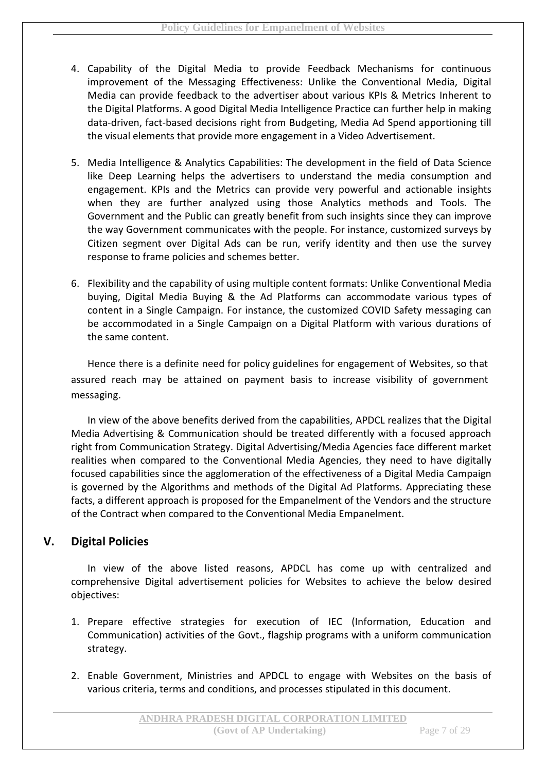- 4. Capability of the Digital Media to provide Feedback Mechanisms for continuous improvement of the Messaging Effectiveness: Unlike the Conventional Media, Digital Media can provide feedback to the advertiser about various KPIs & Metrics Inherent to the Digital Platforms. A good Digital Media Intelligence Practice can further help in making data-driven, fact-based decisions right from Budgeting, Media Ad Spend apportioning till the visual elements that provide more engagement in a Video Advertisement.
- 5. Media Intelligence & Analytics Capabilities: The development in the field of Data Science like Deep Learning helps the advertisers to understand the media consumption and engagement. KPIs and the Metrics can provide very powerful and actionable insights when they are further analyzed using those Analytics methods and Tools. The Government and the Public can greatly benefit from such insights since they can improve the way Government communicates with the people. For instance, customized surveys by Citizen segment over Digital Ads can be run, verify identity and then use the survey response to frame policies and schemes better.
- 6. Flexibility and the capability of using multiple content formats: Unlike Conventional Media buying, Digital Media Buying & the Ad Platforms can accommodate various types of content in a Single Campaign. For instance, the customized COVID Safety messaging can be accommodated in a Single Campaign on a Digital Platform with various durations of the same content.

Hence there is a definite need for policy guidelines for engagement of Websites, so that assured reach may be attained on payment basis to increase visibility of government messaging.

In view of the above benefits derived from the capabilities, APDCL realizes that the Digital Media Advertising & Communication should be treated differently with a focused approach right from Communication Strategy. Digital Advertising/Media Agencies face different market realities when compared to the Conventional Media Agencies, they need to have digitally focused capabilities since the agglomeration of the effectiveness of a Digital Media Campaign is governed by the Algorithms and methods of the Digital Ad Platforms. Appreciating these facts, a different approach is proposed for the Empanelment of the Vendors and the structure of the Contract when compared to the Conventional Media Empanelment.

# **V. Digital Policies**

In view of the above listed reasons, APDCL has come up with centralized and comprehensive Digital advertisement policies for Websites to achieve the below desired objectives:

- 1. Prepare effective strategies for execution of IEC (Information, Education and Communication) activities of the Govt., flagship programs with a uniform communication strategy.
- 2. Enable Government, Ministries and APDCL to engage with Websites on the basis of various criteria, terms and conditions, and processes stipulated in this document.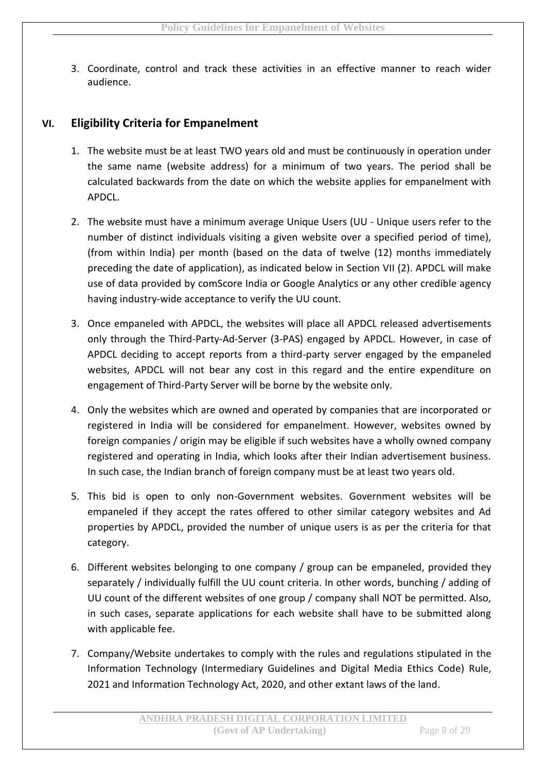3. Coordinate, control and track these activities in an effective manner to reach wider audience.

# **VI. Eligibility Criteria for Empanelment**

- 1. The website must be at least TWO years old and must be continuously in operation under the same name (website address) for a minimum of two years. The period shall be calculated backwards from the date on which the website applies for empanelment with APDCL.
- 2. The website must have a minimum average Unique Users (UU Unique users refer to the number of distinct individuals visiting a given website over a specified period of time), (from within India) per month (based on the data of twelve (12) months immediately preceding the date of application), as indicated below in Section VII (2). APDCL will make use of data provided by comScore India or Google Analytics or any other credible agency having industry-wide acceptance to verify the UU count.
- 3. Once empaneled with APDCL, the websites will place all APDCL released advertisements only through the Third-Party-Ad-Server (3-PAS) engaged by APDCL. However, in case of APDCL deciding to accept reports from a third-party server engaged by the empaneled websites, APDCL will not bear any cost in this regard and the entire expenditure on engagement of Third-Party Server will be borne by the website only.
- 4. Only the websites which are owned and operated by companies that are incorporated or registered in India will be considered for empanelment. However, websites owned by foreign companies / origin may be eligible if such websites have a wholly owned company registered and operating in India, which looks after their Indian advertisement business. In such case, the Indian branch of foreign company must be at least two years old.
- 5. This bid is open to only non-Government websites. Government websites will be empaneled if they accept the rates offered to other similar category websites and Ad properties by APDCL, provided the number of unique users is as per the criteria for that category.
- 6. Different websites belonging to one company / group can be empaneled, provided they separately / individually fulfill the UU count criteria. In other words, bunching / adding of UU count of the different websites of one group / company shall NOT be permitted. Also, in such cases, separate applications for each website shall have to be submitted along with applicable fee.
- 7. Company/Website undertakes to comply with the rules and regulations stipulated in the Information Technology (Intermediary Guidelines and Digital Media Ethics Code) Rule, 2021 and Information Technology Act, 2020, and other extant laws of the land.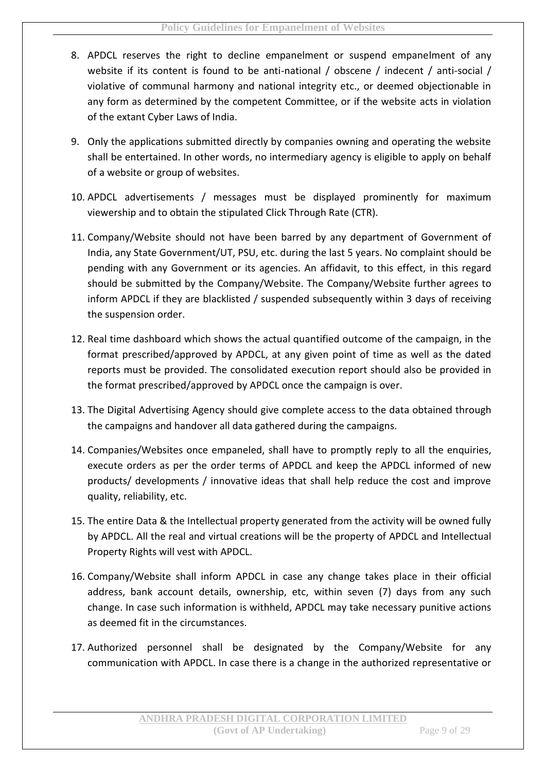- 8. APDCL reserves the right to decline empanelment or suspend empanelment of any website if its content is found to be anti-national / obscene / indecent / anti-social / violative of communal harmony and national integrity etc., or deemed objectionable in any form as determined by the competent Committee, or if the website acts in violation of the extant Cyber Laws of India.
- 9. Only the applications submitted directly by companies owning and operating the website shall be entertained. In other words, no intermediary agency is eligible to apply on behalf of a website or group of websites.
- 10. APDCL advertisements / messages must be displayed prominently for maximum viewership and to obtain the stipulated Click Through Rate (CTR).
- 11. Company/Website should not have been barred by any department of Government of India, any State Government/UT, PSU, etc. during the last 5 years. No complaint should be pending with any Government or its agencies. An affidavit, to this effect, in this regard should be submitted by the Company/Website. The Company/Website further agrees to inform APDCL if they are blacklisted / suspended subsequently within 3 days of receiving the suspension order.
- 12. Real time dashboard which shows the actual quantified outcome of the campaign, in the format prescribed/approved by APDCL, at any given point of time as well as the dated reports must be provided. The consolidated execution report should also be provided in the format prescribed/approved by APDCL once the campaign is over.
- 13. The Digital Advertising Agency should give complete access to the data obtained through the campaigns and handover all data gathered during the campaigns.
- 14. Companies/Websites once empaneled, shall have to promptly reply to all the enquiries, execute orders as per the order terms of APDCL and keep the APDCL informed of new products/ developments / innovative ideas that shall help reduce the cost and improve quality, reliability, etc.
- 15. The entire Data & the Intellectual property generated from the activity will be owned fully by APDCL. All the real and virtual creations will be the property of APDCL and Intellectual Property Rights will vest with APDCL.
- 16. Company/Website shall inform APDCL in case any change takes place in their official address, bank account details, ownership, etc, within seven (7) days from any such change. In case such information is withheld, APDCL may take necessary punitive actions as deemed fit in the circumstances.
- 17. Authorized personnel shall be designated by the Company/Website for any communication with APDCL. In case there is a change in the authorized representative or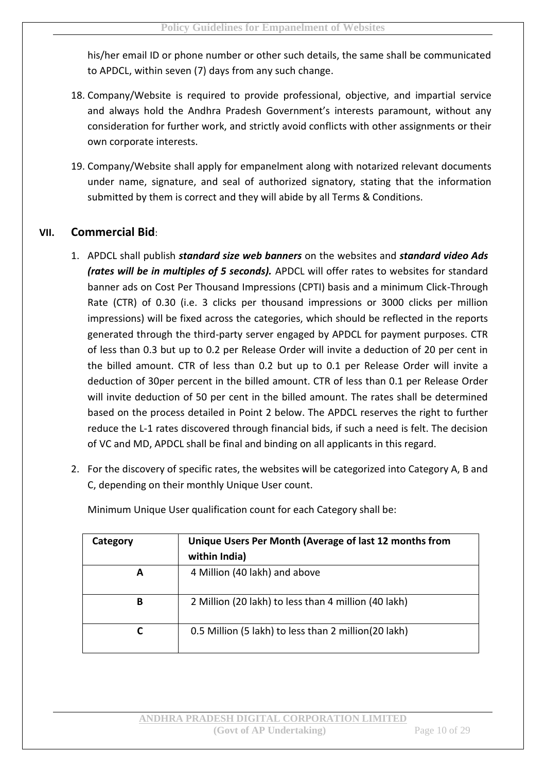his/her email ID or phone number or other such details, the same shall be communicated to APDCL, within seven (7) days from any such change.

- 18. Company/Website is required to provide professional, objective, and impartial service and always hold the Andhra Pradesh Government's interests paramount, without any consideration for further work, and strictly avoid conflicts with other assignments or their own corporate interests.
- 19. Company/Website shall apply for empanelment along with notarized relevant documents under name, signature, and seal of authorized signatory, stating that the information submitted by them is correct and they will abide by all Terms & Conditions.

# **VII. Commercial Bid**:

- 1. APDCL shall publish *standard size web banners* on the websites and *standard video Ads (rates will be in multiples of 5 seconds).* APDCL will offer rates to websites for standard banner ads on Cost Per Thousand Impressions (CPTI) basis and a minimum Click-Through Rate (CTR) of 0.30 (i.e. 3 clicks per thousand impressions or 3000 clicks per million impressions) will be fixed across the categories, which should be reflected in the reports generated through the third-party server engaged by APDCL for payment purposes. CTR of less than 0.3 but up to 0.2 per Release Order will invite a deduction of 20 per cent in the billed amount. CTR of less than 0.2 but up to 0.1 per Release Order will invite a deduction of 30per percent in the billed amount. CTR of less than 0.1 per Release Order will invite deduction of 50 per cent in the billed amount. The rates shall be determined based on the process detailed in Point 2 below. The APDCL reserves the right to further reduce the L-1 rates discovered through financial bids, if such a need is felt. The decision of VC and MD, APDCL shall be final and binding on all applicants in this regard.
- 2. For the discovery of specific rates, the websites will be categorized into Category A, B and C, depending on their monthly Unique User count.

| Category | Unique Users Per Month (Average of last 12 months from |  |
|----------|--------------------------------------------------------|--|
|          | within India)                                          |  |
| A        | 4 Million (40 lakh) and above                          |  |
| в        | 2 Million (20 lakh) to less than 4 million (40 lakh)   |  |
| C        | 0.5 Million (5 lakh) to less than 2 million (20 lakh)  |  |

Minimum Unique User qualification count for each Category shall be: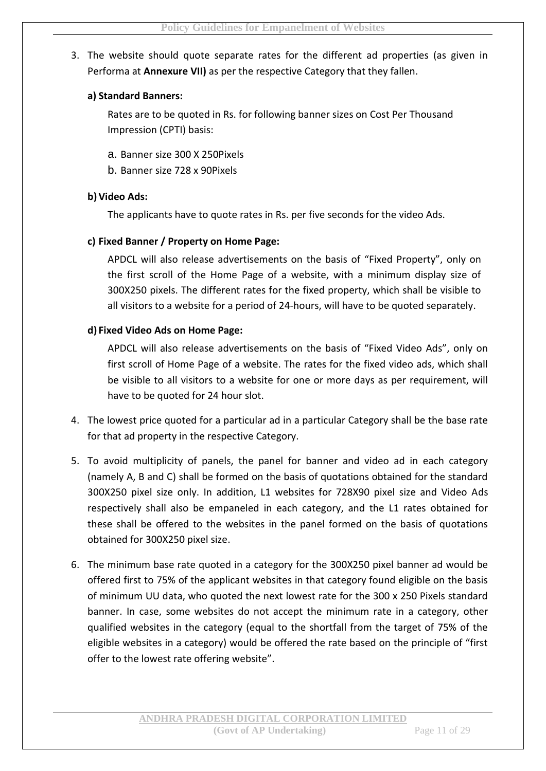# 3. The website should quote separate rates for the different ad properties (as given in Performa at **Annexure VII)** as per the respective Category that they fallen.

#### **a) Standard Banners:**

Rates are to be quoted in Rs. for following banner sizes on Cost Per Thousand Impression (CPTI) basis:

- a. Banner size 300 X 250Pixels
- b. Banner size 728 x 90Pixels

#### **b)Video Ads:**

The applicants have to quote rates in Rs. per five seconds for the video Ads.

#### **c) Fixed Banner / Property on Home Page:**

APDCL will also release advertisements on the basis of "Fixed Property", only on the first scroll of the Home Page of a website, with a minimum display size of 300X250 pixels. The different rates for the fixed property, which shall be visible to all visitors to a website for a period of 24-hours, will have to be quoted separately.

#### **d) Fixed Video Ads on Home Page:**

APDCL will also release advertisements on the basis of "Fixed Video Ads", only on first scroll of Home Page of a website. The rates for the fixed video ads, which shall be visible to all visitors to a website for one or more days as per requirement, will have to be quoted for 24 hour slot.

- 4. The lowest price quoted for a particular ad in a particular Category shall be the base rate for that ad property in the respective Category.
- 5. To avoid multiplicity of panels, the panel for banner and video ad in each category (namely A, B and C) shall be formed on the basis of quotations obtained for the standard 300X250 pixel size only. In addition, L1 websites for 728X90 pixel size and Video Ads respectively shall also be empaneled in each category, and the L1 rates obtained for these shall be offered to the websites in the panel formed on the basis of quotations obtained for 300X250 pixel size.
- 6. The minimum base rate quoted in a category for the 300X250 pixel banner ad would be offered first to 75% of the applicant websites in that category found eligible on the basis of minimum UU data, who quoted the next lowest rate for the 300 x 250 Pixels standard banner. In case, some websites do not accept the minimum rate in a category, other qualified websites in the category (equal to the shortfall from the target of 75% of the eligible websites in a category) would be offered the rate based on the principle of "first offer to the lowest rate offering website".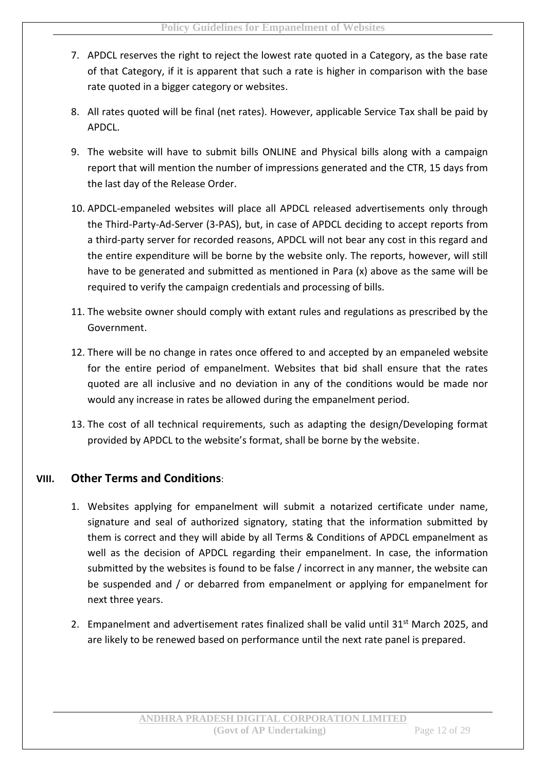- 7. APDCL reserves the right to reject the lowest rate quoted in a Category, as the base rate of that Category, if it is apparent that such a rate is higher in comparison with the base rate quoted in a bigger category or websites.
- 8. All rates quoted will be final (net rates). However, applicable Service Tax shall be paid by APDCL.
- 9. The website will have to submit bills ONLINE and Physical bills along with a campaign report that will mention the number of impressions generated and the CTR, 15 days from the last day of the Release Order.
- 10. APDCL-empaneled websites will place all APDCL released advertisements only through the Third-Party-Ad-Server (3-PAS), but, in case of APDCL deciding to accept reports from a third-party server for recorded reasons, APDCL will not bear any cost in this regard and the entire expenditure will be borne by the website only. The reports, however, will still have to be generated and submitted as mentioned in Para (x) above as the same will be required to verify the campaign credentials and processing of bills.
- 11. The website owner should comply with extant rules and regulations as prescribed by the Government.
- 12. There will be no change in rates once offered to and accepted by an empaneled website for the entire period of empanelment. Websites that bid shall ensure that the rates quoted are all inclusive and no deviation in any of the conditions would be made nor would any increase in rates be allowed during the empanelment period.
- 13. The cost of all technical requirements, such as adapting the design/Developing format provided by APDCL to the website's format, shall be borne by the website.

# **VIII. Other Terms and Conditions**:

- 1. Websites applying for empanelment will submit a notarized certificate under name, signature and seal of authorized signatory, stating that the information submitted by them is correct and they will abide by all Terms & Conditions of APDCL empanelment as well as the decision of APDCL regarding their empanelment. In case, the information submitted by the websites is found to be false / incorrect in any manner, the website can be suspended and / or debarred from empanelment or applying for empanelment for next three years.
- 2. Empanelment and advertisement rates finalized shall be valid until 31<sup>st</sup> March 2025, and are likely to be renewed based on performance until the next rate panel is prepared.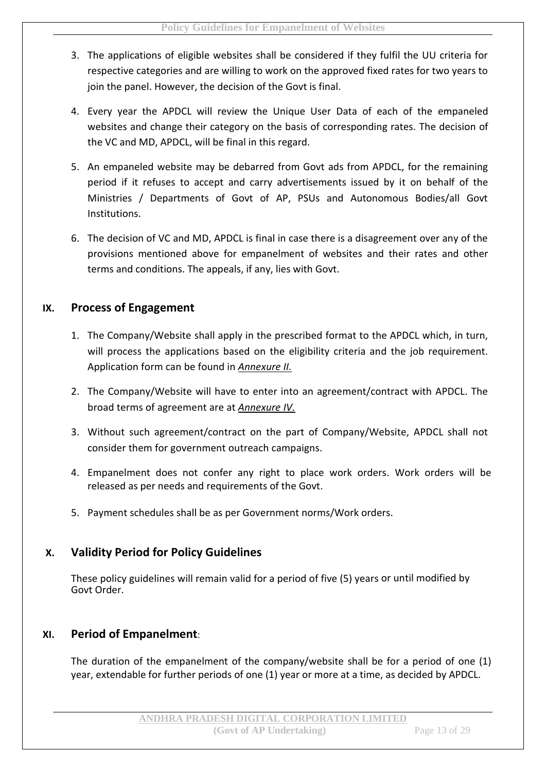- 3. The applications of eligible websites shall be considered if they fulfil the UU criteria for respective categories and are willing to work on the approved fixed rates for two years to join the panel. However, the decision of the Govt is final.
- 4. Every year the APDCL will review the Unique User Data of each of the empaneled websites and change their category on the basis of corresponding rates. The decision of the VC and MD, APDCL, will be final in this regard.
- 5. An empaneled website may be debarred from Govt ads from APDCL, for the remaining period if it refuses to accept and carry advertisements issued by it on behalf of the Ministries / Departments of Govt of AP, PSUs and Autonomous Bodies/all Govt Institutions.
- 6. The decision of VC and MD, APDCL is final in case there is a disagreement over any of the provisions mentioned above for empanelment of websites and their rates and other terms and conditions. The appeals, if any, lies with Govt.

# **IX. Process of Engagement**

- 1. The Company/Website shall apply in the prescribed format to the APDCL which, in turn, will process the applications based on the eligibility criteria and the job requirement. Application form can be found in *Annexure II.*
- 2. The Company/Website will have to enter into an agreement/contract with APDCL. The broad terms of agreement are at *Annexure IV.*
- 3. Without such agreement/contract on the part of Company/Website, APDCL shall not consider them for government outreach campaigns.
- 4. Empanelment does not confer any right to place work orders. Work orders will be released as per needs and requirements of the Govt.
- 5. Payment schedules shall be as per Government norms/Work orders.

# **X. Validity Period for Policy Guidelines**

These policy guidelines will remain valid for a period of five (5) years or until modified by Govt Order.

# **XI. Period of Empanelment**:

The duration of the empanelment of the company/website shall be for a period of one (1) year, extendable for further periods of one (1) year or more at a time, as decided by APDCL.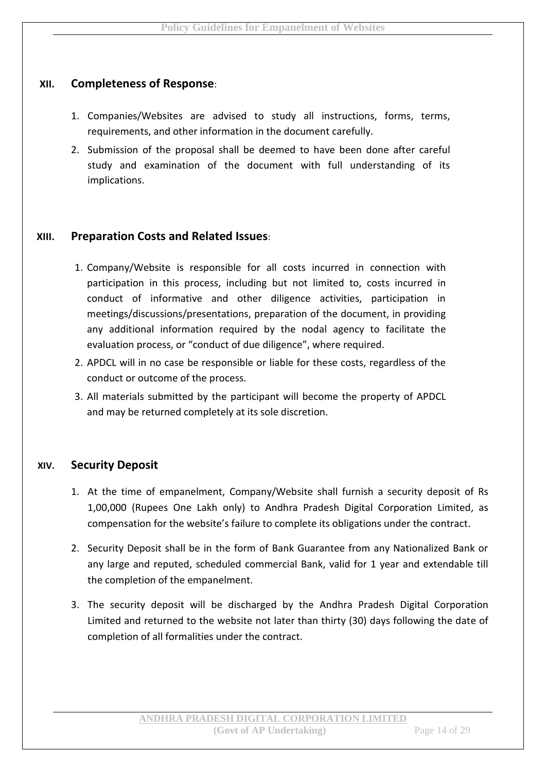# **XII. Completeness of Response**:

- 1. Companies/Websites are advised to study all instructions, forms, terms, requirements, and other information in the document carefully.
- 2. Submission of the proposal shall be deemed to have been done after careful study and examination of the document with full understanding of its implications.

# **XIII. Preparation Costs and Related Issues**:

- 1. Company/Website is responsible for all costs incurred in connection with participation in this process, including but not limited to, costs incurred in conduct of informative and other diligence activities, participation in meetings/discussions/presentations, preparation of the document, in providing any additional information required by the nodal agency to facilitate the evaluation process, or "conduct of due diligence", where required.
- 2. APDCL will in no case be responsible or liable for these costs, regardless of the conduct or outcome of the process.
- 3. All materials submitted by the participant will become the property of APDCL and may be returned completely at its sole discretion.

#### **XIV. Security Deposit**

- 1. At the time of empanelment, Company/Website shall furnish a security deposit of Rs 1,00,000 (Rupees One Lakh only) to Andhra Pradesh Digital Corporation Limited, as compensation for the website's failure to complete its obligations under the contract.
- 2. Security Deposit shall be in the form of Bank Guarantee from any Nationalized Bank or any large and reputed, scheduled commercial Bank, valid for 1 year and extendable till the completion of the empanelment.
- 3. The security deposit will be discharged by the Andhra Pradesh Digital Corporation Limited and returned to the website not later than thirty (30) days following the date of completion of all formalities under the contract.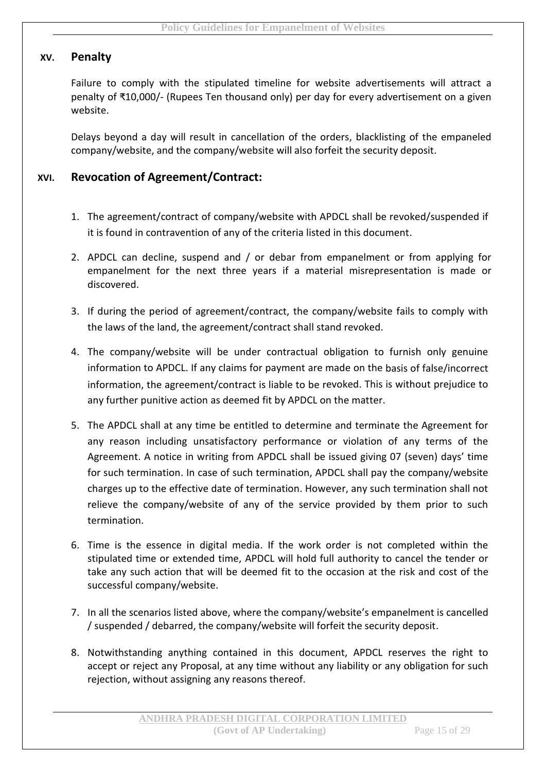# **XV. Penalty**

Failure to comply with the stipulated timeline for website advertisements will attract a penalty of ₹10,000/- (Rupees Ten thousand only) per day for every advertisement on a given website.

Delays beyond a day will result in cancellation of the orders, blacklisting of the empaneled company/website, and the company/website will also forfeit the security deposit.

# **XVI. Revocation of Agreement/Contract:**

- 1. The agreement/contract of company/website with APDCL shall be revoked/suspended if it is found in contravention of any of the criteria listed in this document.
- 2. APDCL can decline, suspend and / or debar from empanelment or from applying for empanelment for the next three years if a material misrepresentation is made or discovered.
- 3. If during the period of agreement/contract, the company/website fails to comply with the laws of the land, the agreement/contract shall stand revoked.
- 4. The company/website will be under contractual obligation to furnish only genuine information to APDCL. If any claims for payment are made on the basis of false/incorrect information, the agreement/contract is liable to be revoked. This is without prejudice to any further punitive action as deemed fit by APDCL on the matter.
- 5. The APDCL shall at any time be entitled to determine and terminate the Agreement for any reason including unsatisfactory performance or violation of any terms of the Agreement. A notice in writing from APDCL shall be issued giving 07 (seven) days' time for such termination. In case of such termination, APDCL shall pay the company/website charges up to the effective date of termination. However, any such termination shall not relieve the company/website of any of the service provided by them prior to such termination.
- 6. Time is the essence in digital media. If the work order is not completed within the stipulated time or extended time, APDCL will hold full authority to cancel the tender or take any such action that will be deemed fit to the occasion at the risk and cost of the successful company/website.
- 7. In all the scenarios listed above, where the company/website's empanelment is cancelled / suspended / debarred, the company/website will forfeit the security deposit.
- 8. Notwithstanding anything contained in this document, APDCL reserves the right to accept or reject any Proposal, at any time without any liability or any obligation for such rejection, without assigning any reasons thereof.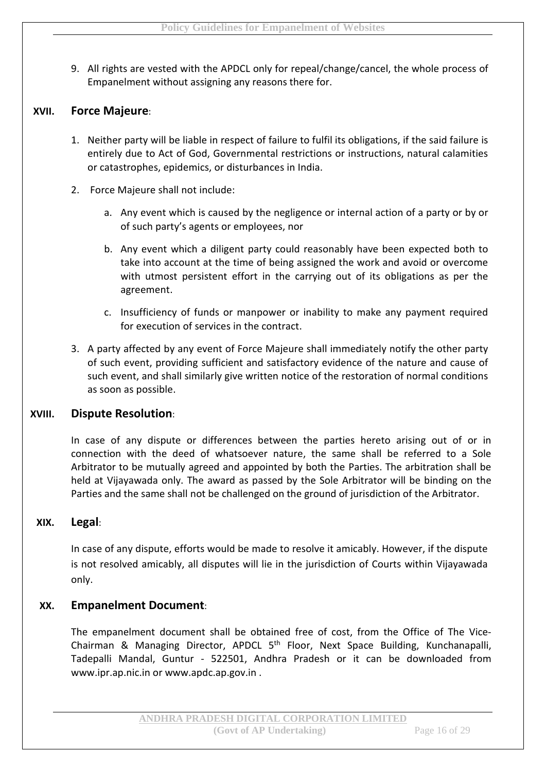9. All rights are vested with the APDCL only for repeal/change/cancel, the whole process of Empanelment without assigning any reasons there for.

# **XVII. Force Majeure**:

- 1. Neither party will be liable in respect of failure to fulfil its obligations, if the said failure is entirely due to Act of God, Governmental restrictions or instructions, natural calamities or catastrophes, epidemics, or disturbances in India.
- 2. Force Majeure shall not include:
	- a. Any event which is caused by the negligence or internal action of a party or by or of such party's agents or employees, nor
	- b. Any event which a diligent party could reasonably have been expected both to take into account at the time of being assigned the work and avoid or overcome with utmost persistent effort in the carrying out of its obligations as per the agreement.
	- c. Insufficiency of funds or manpower or inability to make any payment required for execution of services in the contract.
- 3. A party affected by any event of Force Majeure shall immediately notify the other party of such event, providing sufficient and satisfactory evidence of the nature and cause of such event, and shall similarly give written notice of the restoration of normal conditions as soon as possible.

#### **XVIII. Dispute Resolution**:

In case of any dispute or differences between the parties hereto arising out of or in connection with the deed of whatsoever nature, the same shall be referred to a Sole Arbitrator to be mutually agreed and appointed by both the Parties. The arbitration shall be held at Vijayawada only. The award as passed by the Sole Arbitrator will be binding on the Parties and the same shall not be challenged on the ground of jurisdiction of the Arbitrator.

#### **XIX. Legal**:

In case of any dispute, efforts would be made to resolve it amicably. However, if the dispute is not resolved amicably, all disputes will lie in the jurisdiction of Courts within Vijayawada only.

#### **XX. Empanelment Document**:

The empanelment document shall be obtained free of cost, from the Office of The Vice-Chairman & Managing Director, APDCL 5<sup>th</sup> Floor, Next Space Building, Kunchanapalli, Tadepalli Mandal, Guntur - 522501, Andhra Pradesh or it can be downloaded from www.ipr.ap.nic.in or www.apdc.ap.gov.in .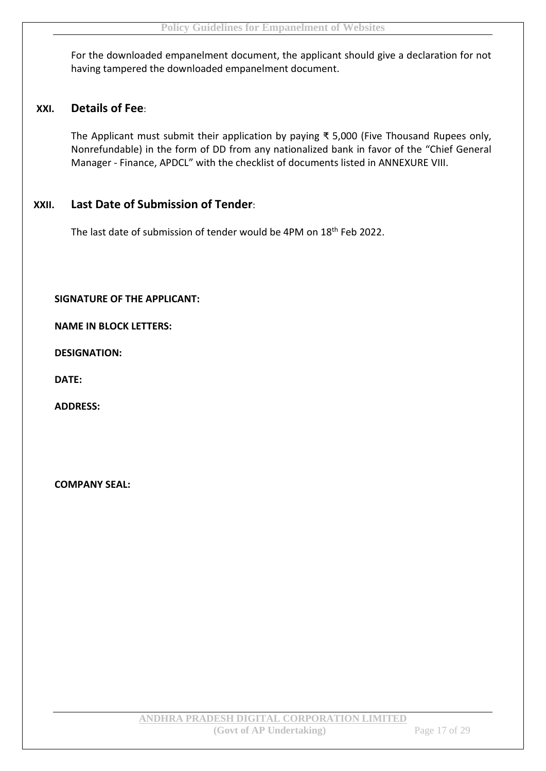For the downloaded empanelment document, the applicant should give a declaration for not having tampered the downloaded empanelment document.

# **XXI. Details of Fee**:

The Applicant must submit their application by paying ₹ 5,000 (Five Thousand Rupees only, Nonrefundable) in the form of DD from any nationalized bank in favor of the "Chief General Manager - Finance, APDCL" with the checklist of documents listed in ANNEXURE VIII.

# **XXII. Last Date of Submission of Tender**:

The last date of submission of tender would be 4PM on 18<sup>th</sup> Feb 2022.

**SIGNATURE OF THE APPLICANT:**

**NAME IN BLOCK LETTERS:**

**DESIGNATION:**

**DATE:**

**ADDRESS:**

**COMPANY SEAL:**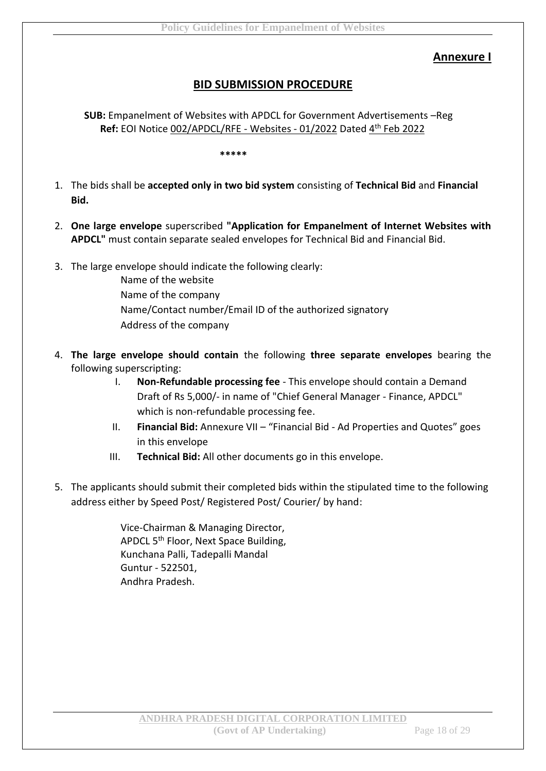# **Annexure I**

# **BID SUBMISSION PROCEDURE**

**SUB:** Empanelment of Websites with APDCL for Government Advertisements –Reg Ref: EOI Notice 002/APDCL/RFE - Websites - 01/2022 Dated 4<sup>th</sup> Feb 2022

#### **\*\*\*\*\***

- 1. The bids shall be **accepted only in two bid system** consisting of **Technical Bid** and **Financial Bid.**
- 2. **One large envelope** superscribed **"Application for Empanelment of Internet Websites with APDCL"** must contain separate sealed envelopes for Technical Bid and Financial Bid.
- 3. The large envelope should indicate the following clearly:
	- Name of the website Name of the company Name/Contact number/Email ID of the authorized signatory Address of the company
- 4. **The large envelope should contain** the following **three separate envelopes** bearing the following superscripting:
	- I. **Non-Refundable processing fee** This envelope should contain a Demand Draft of Rs 5,000/- in name of "Chief General Manager - Finance, APDCL" which is non-refundable processing fee.
	- II. **Financial Bid:** Annexure VII "Financial Bid Ad Properties and Quotes" goes in this envelope
	- III. **Technical Bid:** All other documents go in this envelope.
- 5. The applicants should submit their completed bids within the stipulated time to the following address either by Speed Post/ Registered Post/ Courier/ by hand:

Vice-Chairman & Managing Director, APDCL 5<sup>th</sup> Floor, Next Space Building, Kunchana Palli, Tadepalli Mandal Guntur - 522501, Andhra Pradesh.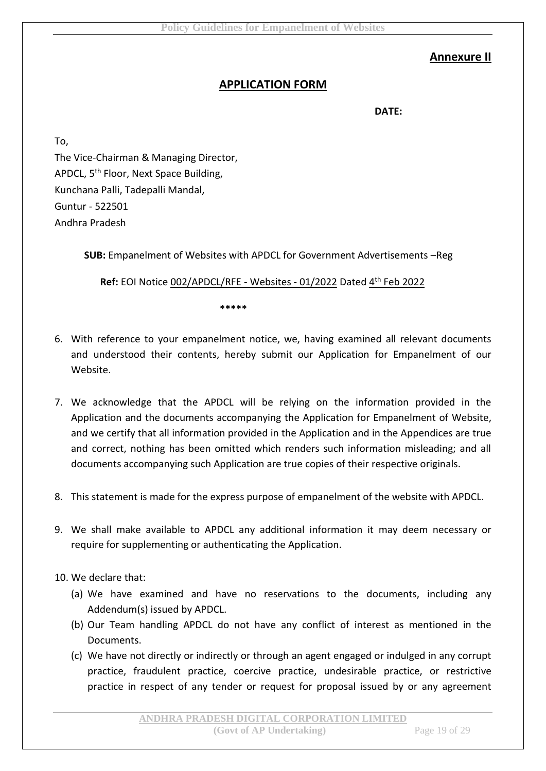# **Annexure II**

# **APPLICATION FORM**

**DATE:**

To, The Vice-Chairman & Managing Director, APDCL, 5<sup>th</sup> Floor, Next Space Building, Kunchana Palli, Tadepalli Mandal, Guntur - 522501 Andhra Pradesh

**SUB:** Empanelment of Websites with APDCL for Government Advertisements –Reg

Ref: EOI Notice 002/APDCL/RFE - Websites - 01/2022 Dated 4<sup>th</sup> Feb 2022

**\*\*\*\*\***

- 6. With reference to your empanelment notice, we, having examined all relevant documents and understood their contents, hereby submit our Application for Empanelment of our Website.
- 7. We acknowledge that the APDCL will be relying on the information provided in the Application and the documents accompanying the Application for Empanelment of Website, and we certify that all information provided in the Application and in the Appendices are true and correct, nothing has been omitted which renders such information misleading; and all documents accompanying such Application are true copies of their respective originals.
- 8. This statement is made for the express purpose of empanelment of the website with APDCL.
- 9. We shall make available to APDCL any additional information it may deem necessary or require for supplementing or authenticating the Application.
- 10. We declare that:
	- (a) We have examined and have no reservations to the documents, including any Addendum(s) issued by APDCL.
	- (b) Our Team handling APDCL do not have any conflict of interest as mentioned in the Documents.
	- (c) We have not directly or indirectly or through an agent engaged or indulged in any corrupt practice, fraudulent practice, coercive practice, undesirable practice, or restrictive practice in respect of any tender or request for proposal issued by or any agreement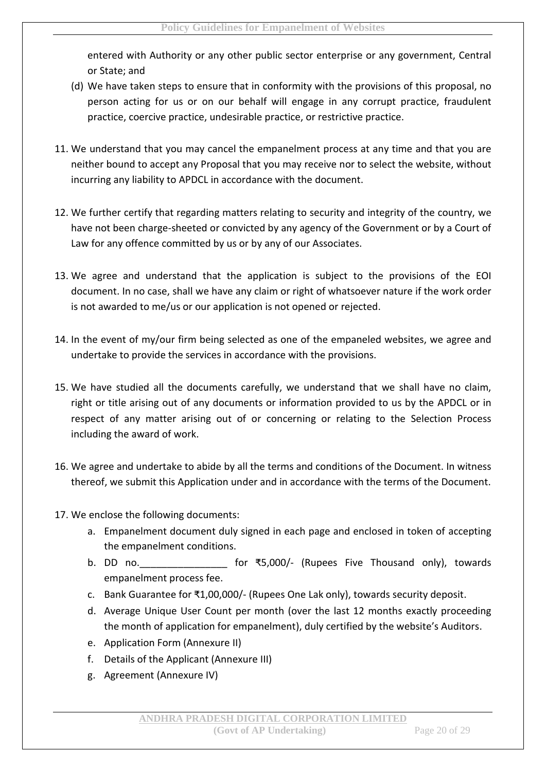entered with Authority or any other public sector enterprise or any government, Central or State; and

- (d) We have taken steps to ensure that in conformity with the provisions of this proposal, no person acting for us or on our behalf will engage in any corrupt practice, fraudulent practice, coercive practice, undesirable practice, or restrictive practice.
- 11. We understand that you may cancel the empanelment process at any time and that you are neither bound to accept any Proposal that you may receive nor to select the website, without incurring any liability to APDCL in accordance with the document.
- 12. We further certify that regarding matters relating to security and integrity of the country, we have not been charge-sheeted or convicted by any agency of the Government or by a Court of Law for any offence committed by us or by any of our Associates.
- 13. We agree and understand that the application is subject to the provisions of the EOI document. In no case, shall we have any claim or right of whatsoever nature if the work order is not awarded to me/us or our application is not opened or rejected.
- 14. In the event of my/our firm being selected as one of the empaneled websites, we agree and undertake to provide the services in accordance with the provisions.
- 15. We have studied all the documents carefully, we understand that we shall have no claim, right or title arising out of any documents or information provided to us by the APDCL or in respect of any matter arising out of or concerning or relating to the Selection Process including the award of work.
- 16. We agree and undertake to abide by all the terms and conditions of the Document. In witness thereof, we submit this Application under and in accordance with the terms of the Document.
- 17. We enclose the following documents:
	- a. Empanelment document duly signed in each page and enclosed in token of accepting the empanelment conditions.
	- b. DD no.\_\_\_\_\_\_\_\_\_\_\_\_\_\_\_\_ for ₹5,000/- (Rupees Five Thousand only), towards empanelment process fee.
	- c. Bank Guarantee for ₹1,00,000/- (Rupees One Lak only), towards security deposit.
	- d. Average Unique User Count per month (over the last 12 months exactly proceeding the month of application for empanelment), duly certified by the website's Auditors.
	- e. Application Form (Annexure II)
	- f. Details of the Applicant (Annexure III)
	- g. Agreement (Annexure IV)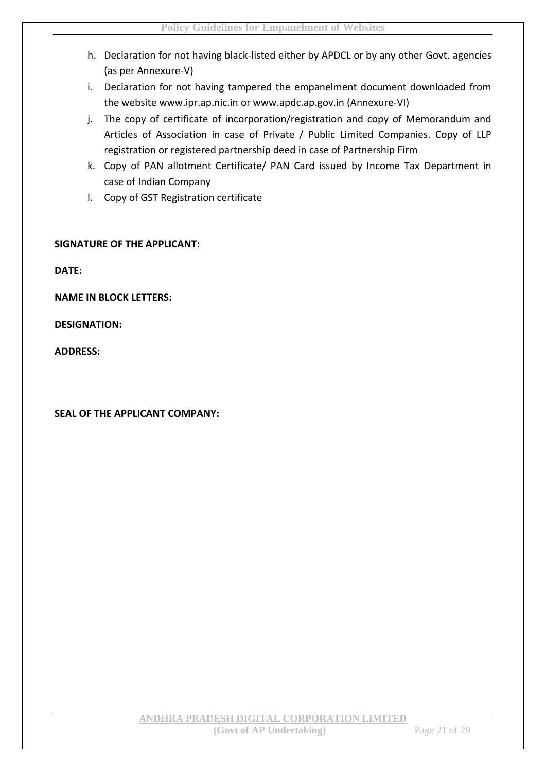- h. Declaration for not having black-listed either by APDCL or by any other Govt. agencies (as per Annexure-V)
- i. Declaration for not having tampered the empanelment document downloaded from the website www.ipr.ap.nic.in or www.apdc.ap.gov.in (Annexure-VI)
- j. The copy of certificate of incorporation/registration and copy of Memorandum and Articles of Association in case of Private / Public Limited Companies. Copy of LLP registration or registered partnership deed in case of Partnership Firm
- k. Copy of PAN allotment Certificate/ PAN Card issued by Income Tax Department in case of Indian Company
- l. Copy of GST Registration certificate

#### **SIGNATURE OF THE APPLICANT:**

**DATE:**

**NAME IN BLOCK LETTERS:**

**DESIGNATION:**

**ADDRESS:**

**SEAL OF THE APPLICANT COMPANY:**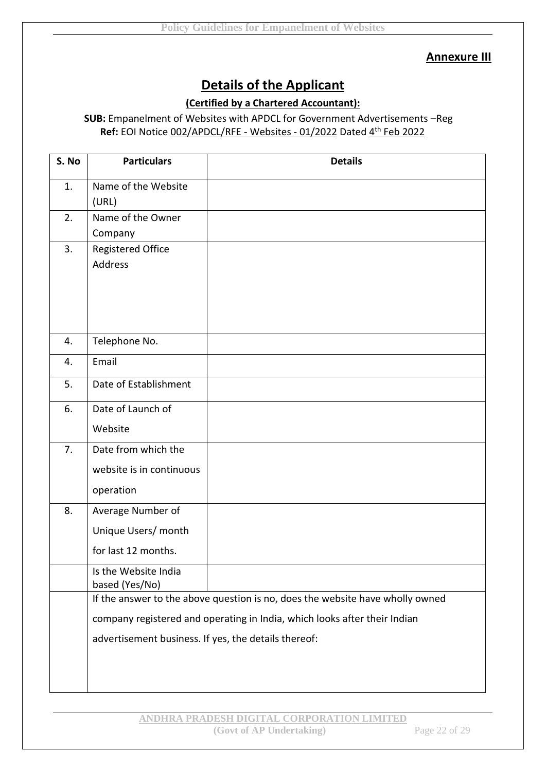#### **Annexure III**

# **Details of the Applicant**

# **(Certified by a Chartered Accountant):**

# **SUB:** Empanelment of Websites with APDCL for Government Advertisements –Reg Ref: EOI Notice 002/APDCL/RFE - Websites - 01/2022 Dated 4<sup>th</sup> Feb 2022

| S. No | <b>Particulars</b>                                                        | <b>Details</b>                                                                |  |
|-------|---------------------------------------------------------------------------|-------------------------------------------------------------------------------|--|
| 1.    | Name of the Website<br>(URL)                                              |                                                                               |  |
| 2.    | Name of the Owner                                                         |                                                                               |  |
|       | Company                                                                   |                                                                               |  |
| 3.    | <b>Registered Office</b><br>Address                                       |                                                                               |  |
|       |                                                                           |                                                                               |  |
| 4.    | Telephone No.                                                             |                                                                               |  |
| 4.    | Email                                                                     |                                                                               |  |
| 5.    | Date of Establishment                                                     |                                                                               |  |
| 6.    | Date of Launch of                                                         |                                                                               |  |
|       | Website                                                                   |                                                                               |  |
| 7.    | Date from which the                                                       |                                                                               |  |
|       | website is in continuous                                                  |                                                                               |  |
|       | operation                                                                 |                                                                               |  |
| 8.    | Average Number of                                                         |                                                                               |  |
|       | Unique Users/ month                                                       |                                                                               |  |
|       | for last 12 months.                                                       |                                                                               |  |
|       | Is the Website India<br>based (Yes/No)                                    |                                                                               |  |
|       |                                                                           | If the answer to the above question is no, does the website have wholly owned |  |
|       | company registered and operating in India, which looks after their Indian |                                                                               |  |
|       | advertisement business. If yes, the details thereof:                      |                                                                               |  |
|       |                                                                           |                                                                               |  |
|       |                                                                           |                                                                               |  |
|       |                                                                           |                                                                               |  |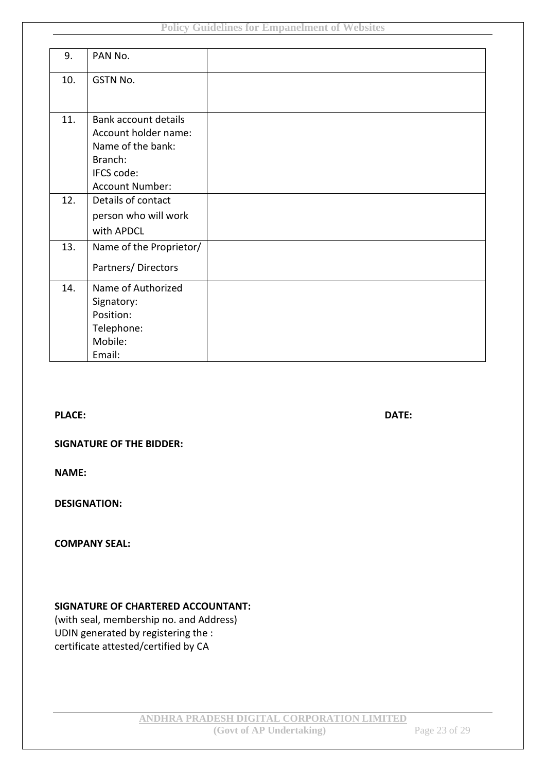| 9.  | PAN No.                     |  |
|-----|-----------------------------|--|
| 10. | GSTN No.                    |  |
|     |                             |  |
| 11. | <b>Bank account details</b> |  |
|     | Account holder name:        |  |
|     | Name of the bank:           |  |
|     | Branch:                     |  |
|     | IFCS code:                  |  |
|     | <b>Account Number:</b>      |  |
| 12. | Details of contact          |  |
|     | person who will work        |  |
|     | with APDCL                  |  |
| 13. | Name of the Proprietor/     |  |
|     | Partners/Directors          |  |
| 14. | Name of Authorized          |  |
|     | Signatory:                  |  |
|     | Position:                   |  |
|     | Telephone:                  |  |
|     | Mobile:                     |  |
|     | Email:                      |  |

**PLACE: DATE:**

#### **SIGNATURE OF THE BIDDER:**

**NAME:**

**DESIGNATION:**

#### **COMPANY SEAL:**

#### **SIGNATURE OF CHARTERED ACCOUNTANT:**

(with seal, membership no. and Address) UDIN generated by registering the : certificate attested/certified by CA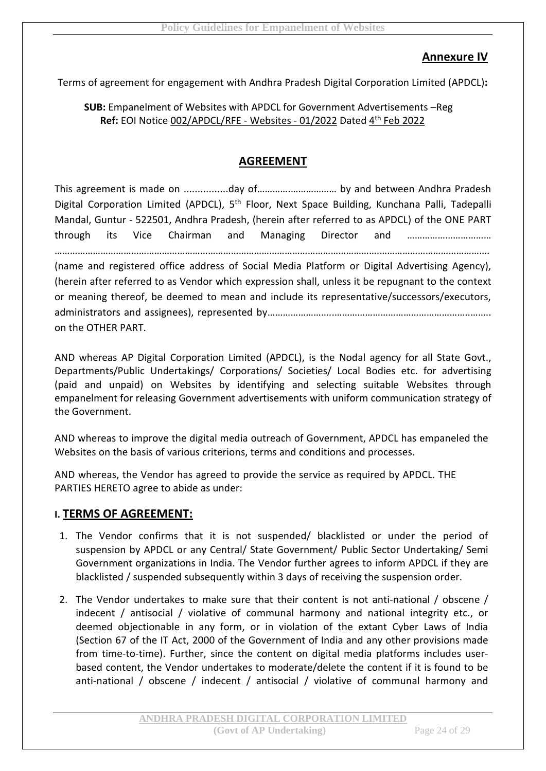# **Annexure IV**

Terms of agreement for engagement with Andhra Pradesh Digital Corporation Limited (APDCL)**:**

# **SUB:** Empanelment of Websites with APDCL for Government Advertisements –Reg Ref: EOI Notice 002/APDCL/RFE - Websites - 01/2022 Dated 4<sup>th</sup> Feb 2022

# **AGREEMENT**

This agreement is made on ................day of………….……………… by and between Andhra Pradesh Digital Corporation Limited (APDCL), 5<sup>th</sup> Floor, Next Space Building, Kunchana Palli, Tadepalli Mandal, Guntur - 522501, Andhra Pradesh, (herein after referred to as APDCL) of the ONE PART through its Vice Chairman and Managing Director and …………………………… ……………………………………………………………………………………………………………….…………………………………….

(name and registered office address of Social Media Platform or Digital Advertising Agency), (herein after referred to as Vendor which expression shall, unless it be repugnant to the context or meaning thereof, be deemed to mean and include its representative/successors/executors, administrators and assignees), represented by…………………………………………………………………………………………… on the OTHER PART.

AND whereas AP Digital Corporation Limited (APDCL), is the Nodal agency for all State Govt., Departments/Public Undertakings/ Corporations/ Societies/ Local Bodies etc. for advertising (paid and unpaid) on Websites by identifying and selecting suitable Websites through empanelment for releasing Government advertisements with uniform communication strategy of the Government.

AND whereas to improve the digital media outreach of Government, APDCL has empaneled the Websites on the basis of various criterions, terms and conditions and processes.

AND whereas, the Vendor has agreed to provide the service as required by APDCL. THE PARTIES HERETO agree to abide as under:

#### **I. TERMS OF AGREEMENT:**

- 1. The Vendor confirms that it is not suspended/ blacklisted or under the period of suspension by APDCL or any Central/ State Government/ Public Sector Undertaking/ Semi Government organizations in India. The Vendor further agrees to inform APDCL if they are blacklisted / suspended subsequently within 3 days of receiving the suspension order.
- 2. The Vendor undertakes to make sure that their content is not anti-national / obscene / indecent / antisocial / violative of communal harmony and national integrity etc., or deemed objectionable in any form, or in violation of the extant Cyber Laws of India (Section 67 of the IT Act, 2000 of the Government of India and any other provisions made from time-to-time). Further, since the content on digital media platforms includes userbased content, the Vendor undertakes to moderate/delete the content if it is found to be anti-national / obscene / indecent / antisocial / violative of communal harmony and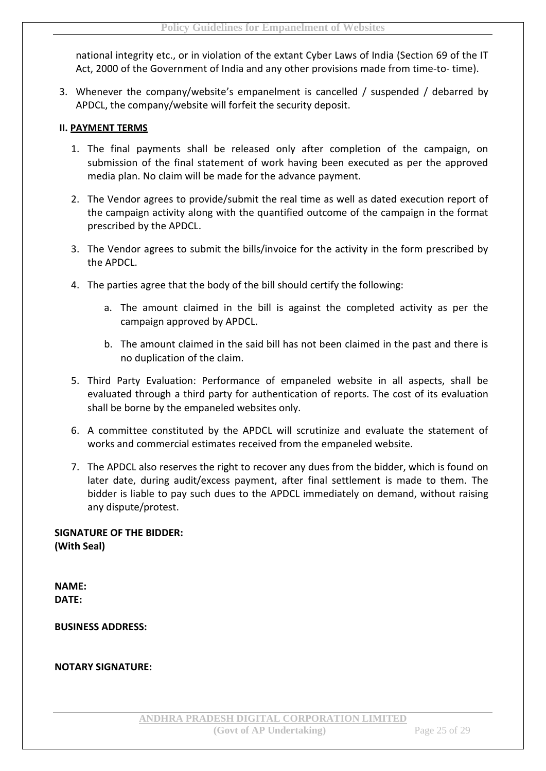national integrity etc., or in violation of the extant Cyber Laws of India (Section 69 of the IT Act, 2000 of the Government of India and any other provisions made from time-to- time).

3. Whenever the company/website's empanelment is cancelled / suspended / debarred by APDCL, the company/website will forfeit the security deposit.

#### **II. PAYMENT TERMS**

- 1. The final payments shall be released only after completion of the campaign, on submission of the final statement of work having been executed as per the approved media plan. No claim will be made for the advance payment.
- 2. The Vendor agrees to provide/submit the real time as well as dated execution report of the campaign activity along with the quantified outcome of the campaign in the format prescribed by the APDCL.
- 3. The Vendor agrees to submit the bills/invoice for the activity in the form prescribed by the APDCL.
- 4. The parties agree that the body of the bill should certify the following:
	- a. The amount claimed in the bill is against the completed activity as per the campaign approved by APDCL.
	- b. The amount claimed in the said bill has not been claimed in the past and there is no duplication of the claim.
- 5. Third Party Evaluation: Performance of empaneled website in all aspects, shall be evaluated through a third party for authentication of reports. The cost of its evaluation shall be borne by the empaneled websites only.
- 6. A committee constituted by the APDCL will scrutinize and evaluate the statement of works and commercial estimates received from the empaneled website.
- 7. The APDCL also reserves the right to recover any dues from the bidder, which is found on later date, during audit/excess payment, after final settlement is made to them. The bidder is liable to pay such dues to the APDCL immediately on demand, without raising any dispute/protest.

**SIGNATURE OF THE BIDDER: (With Seal)**

**NAME: DATE:**

**BUSINESS ADDRESS:**

**NOTARY SIGNATURE:**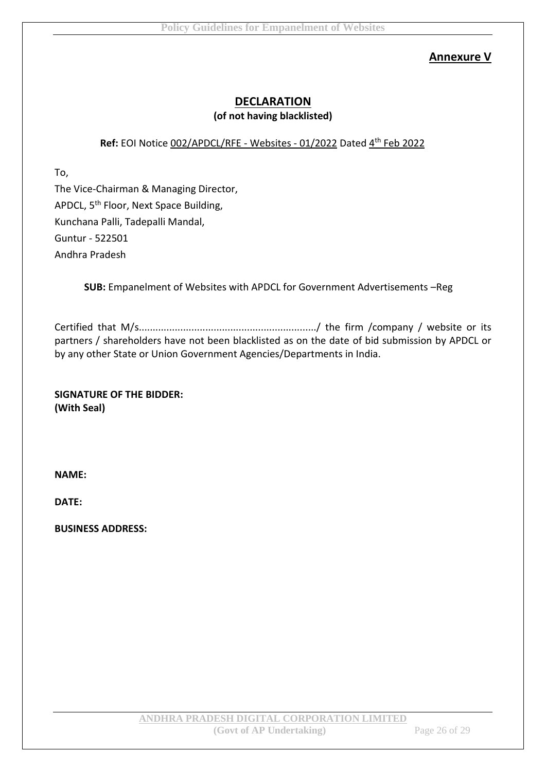# **Annexure V**

# **DECLARATION (of not having blacklisted)**

# Ref: EOI Notice 002/APDCL/RFE - Websites - 01/2022 Dated 4<sup>th</sup> Feb 2022

To,

The Vice-Chairman & Managing Director, APDCL, 5<sup>th</sup> Floor, Next Space Building, Kunchana Palli, Tadepalli Mandal, Guntur - 522501 Andhra Pradesh

**SUB:** Empanelment of Websites with APDCL for Government Advertisements –Reg

Certified that M/s................................................................/ the firm /company / website or its partners / shareholders have not been blacklisted as on the date of bid submission by APDCL or by any other State or Union Government Agencies/Departments in India.

**SIGNATURE OF THE BIDDER: (With Seal)**

**NAME:**

**DATE:**

**BUSINESS ADDRESS:**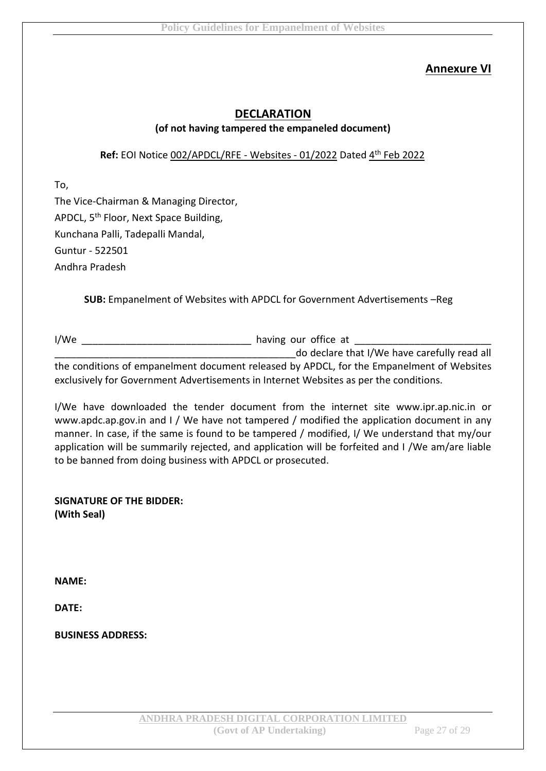# **Annexure VI**

# **DECLARATION (of not having tampered the empaneled document)**

# Ref: EOI Notice 002/APDCL/RFE - Websites - 01/2022 Dated 4<sup>th</sup> Feb 2022

To,

The Vice-Chairman & Managing Director, APDCL, 5<sup>th</sup> Floor, Next Space Building, Kunchana Palli, Tadepalli Mandal, Guntur - 522501 Andhra Pradesh

**SUB:** Empanelment of Websites with APDCL for Government Advertisements –Reg

I/We are the set of the set of the having our office at  $\sim$ do declare that I/We have carefully read all the conditions of empanelment document released by APDCL, for the Empanelment of Websites exclusively for Government Advertisements in Internet Websites as per the conditions.

I/We have downloaded the tender document from the internet site www.ipr.ap.nic.in or www.apdc.ap.gov.in and I / We have not tampered / modified the application document in any manner. In case, if the same is found to be tampered / modified, I/ We understand that my/our application will be summarily rejected, and application will be forfeited and I /We am/are liable to be banned from doing business with APDCL or prosecuted.

**SIGNATURE OF THE BIDDER: (With Seal)**

**NAME:**

**DATE:**

**BUSINESS ADDRESS:**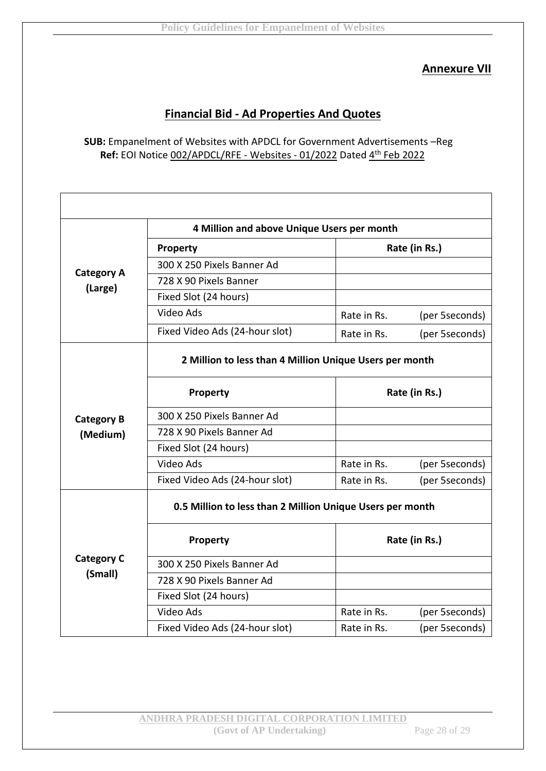# **Annexure VII**

# **Financial Bid - Ad Properties And Quotes**

## **SUB:** Empanelment of Websites with APDCL for Government Advertisements –Reg Ref: EOI Notice 002/APDCL/RFE - Websites - 01/2022 Dated 4<sup>th</sup> Feb 2022

|                                                           | 4 Million and above Unique Users per month |               |                |
|-----------------------------------------------------------|--------------------------------------------|---------------|----------------|
|                                                           | <b>Property</b>                            | Rate (in Rs.) |                |
|                                                           | 300 X 250 Pixels Banner Ad                 |               |                |
| <b>Category A</b><br>(Large)                              | 728 X 90 Pixels Banner                     |               |                |
|                                                           | Fixed Slot (24 hours)                      |               |                |
|                                                           | Video Ads                                  | Rate in Rs.   | (per 5seconds) |
|                                                           | Fixed Video Ads (24-hour slot)             | Rate in Rs.   | (per 5seconds) |
| 2 Million to less than 4 Million Unique Users per month   |                                            |               |                |
|                                                           | <b>Property</b>                            | Rate (in Rs.) |                |
| <b>Category B</b>                                         | 300 X 250 Pixels Banner Ad                 |               |                |
| (Medium)                                                  | 728 X 90 Pixels Banner Ad                  |               |                |
|                                                           | Fixed Slot (24 hours)                      |               |                |
|                                                           | Video Ads                                  | Rate in Rs.   | (per 5seconds) |
|                                                           | Fixed Video Ads (24-hour slot)             | Rate in Rs.   | (per 5seconds) |
| 0.5 Million to less than 2 Million Unique Users per month |                                            |               |                |
|                                                           | Property                                   | Rate (in Rs.) |                |
| <b>Category C</b>                                         | 300 X 250 Pixels Banner Ad                 |               |                |
| (Small)                                                   | 728 X 90 Pixels Banner Ad                  |               |                |
|                                                           | Fixed Slot (24 hours)                      |               |                |
|                                                           | Video Ads                                  | Rate in Rs.   | (per 5seconds) |
|                                                           | Fixed Video Ads (24-hour slot)             | Rate in Rs.   | (per 5seconds) |